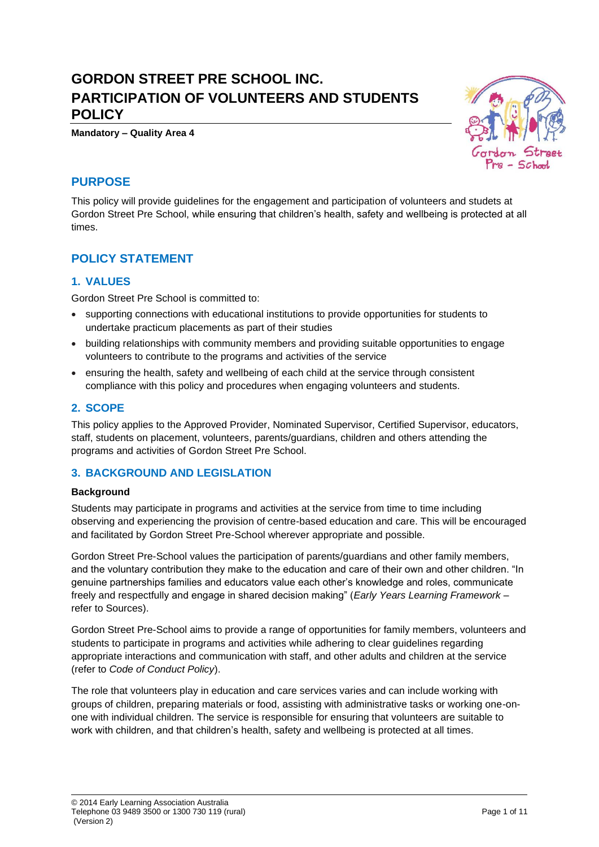# **GORDON STREET PRE SCHOOL INC. PARTICIPATION OF VOLUNTEERS AND STUDENTS POLICY**

**Mandatory – Quality Area 4**

## **PURPOSE**

This policy will provide guidelines for the engagement and participation of volunteers and studets at Gordon Street Pre School, while ensuring that children's health, safety and wellbeing is protected at all times.

## **POLICY STATEMENT**

### **1. VALUES**

Gordon Street Pre School is committed to:

- supporting connections with educational institutions to provide opportunities for students to undertake practicum placements as part of their studies
- building relationships with community members and providing suitable opportunities to engage volunteers to contribute to the programs and activities of the service
- ensuring the health, safety and wellbeing of each child at the service through consistent compliance with this policy and procedures when engaging volunteers and students.

### **2. SCOPE**

This policy applies to the Approved Provider, Nominated Supervisor, Certified Supervisor, educators, staff, students on placement, volunteers, parents/guardians, children and others attending the programs and activities of Gordon Street Pre School.

### **3. BACKGROUND AND LEGISLATION**

#### **Background**

Students may participate in programs and activities at the service from time to time including observing and experiencing the provision of centre-based education and care. This will be encouraged and facilitated by Gordon Street Pre-School wherever appropriate and possible.

Gordon Street Pre-School values the participation of parents/guardians and other family members, and the voluntary contribution they make to the education and care of their own and other children. "In genuine partnerships families and educators value each other's knowledge and roles, communicate freely and respectfully and engage in shared decision making" (*Early Years Learning Framework –* refer to Sources).

Gordon Street Pre-School aims to provide a range of opportunities for family members, volunteers and students to participate in programs and activities while adhering to clear guidelines regarding appropriate interactions and communication with staff, and other adults and children at the service (refer to *Code of Conduct Policy*).

The role that volunteers play in education and care services varies and can include working with groups of children, preparing materials or food, assisting with administrative tasks or working one-onone with individual children. The service is responsible for ensuring that volunteers are suitable to work with children, and that children's health, safety and wellbeing is protected at all times.

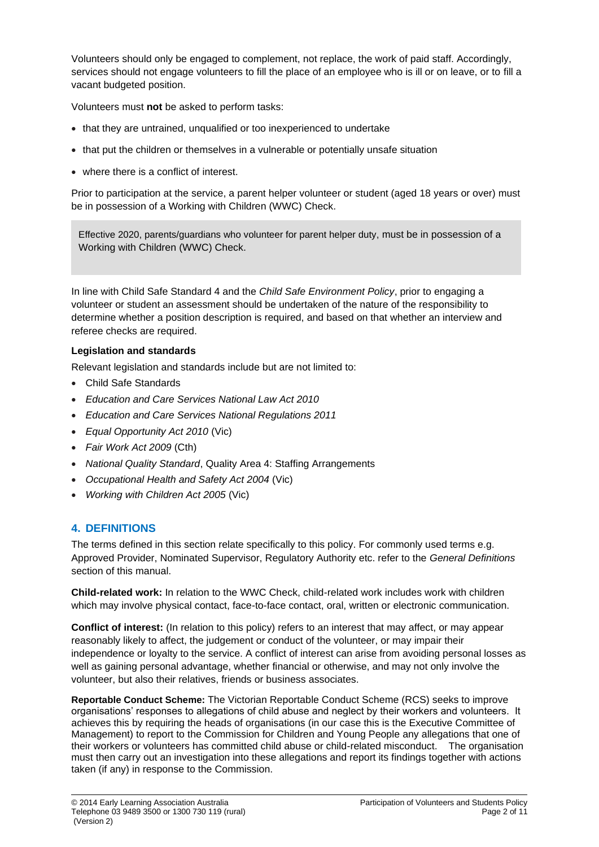Volunteers should only be engaged to complement, not replace, the work of paid staff. Accordingly, services should not engage volunteers to fill the place of an employee who is ill or on leave, or to fill a vacant budgeted position.

Volunteers must **not** be asked to perform tasks:

- that they are untrained, unqualified or too inexperienced to undertake
- that put the children or themselves in a vulnerable or potentially unsafe situation
- where there is a conflict of interest.

Prior to participation at the service, a parent helper volunteer or student (aged 18 years or over) must be in possession of a Working with Children (WWC) Check.

Effective 2020, parents/guardians who volunteer for parent helper duty, must be in possession of a Working with Children (WWC) Check.

In line with Child Safe Standard 4 and the *Child Safe Environment Policy*, prior to engaging a volunteer or student an assessment should be undertaken of the nature of the responsibility to determine whether a position description is required, and based on that whether an interview and referee checks are required.

### **Legislation and standards**

Relevant legislation and standards include but are not limited to:

- Child Safe Standards
- *Education and Care Services National Law Act 2010*
- *Education and Care Services National Regulations 2011*
- *Equal Opportunity Act 2010* (Vic)
- *Fair Work Act 2009* (Cth)
- *National Quality Standard*, Quality Area 4: Staffing Arrangements
- *Occupational Health and Safety Act 2004* (Vic)
- *Working with Children Act 2005* (Vic)

## **4. DEFINITIONS**

The terms defined in this section relate specifically to this policy. For commonly used terms e.g. Approved Provider, Nominated Supervisor, Regulatory Authority etc. refer to the *General Definitions* section of this manual.

**Child-related work:** In relation to the WWC Check, child-related work includes work with children which may involve physical contact, face-to-face contact, oral, written or electronic communication.

**Conflict of interest:** (In relation to this policy) refers to an interest that may affect, or may appear reasonably likely to affect, the judgement or conduct of the volunteer, or may impair their independence or loyalty to the service. A conflict of interest can arise from avoiding personal losses as well as gaining personal advantage, whether financial or otherwise, and may not only involve the volunteer, but also their relatives, friends or business associates.

**Reportable Conduct Scheme:** The Victorian Reportable Conduct Scheme (RCS) seeks to improve organisations' responses to allegations of child abuse and neglect by their workers and volunteers. It achieves this by requiring the heads of organisations (in our case this is the Executive Committee of Management) to report to the Commission for Children and Young People any allegations that one of their workers or volunteers has committed child abuse or child-related misconduct. The organisation must then carry out an investigation into these allegations and report its findings together with actions taken (if any) in response to the Commission.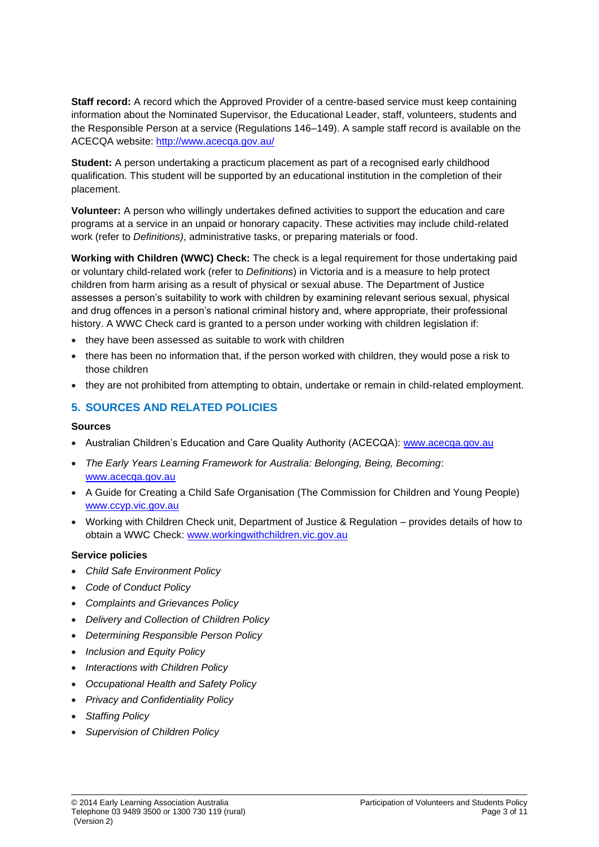**Staff record:** A record which the Approved Provider of a centre-based service must keep containing information about the Nominated Supervisor, the Educational Leader, staff, volunteers, students and the Responsible Person at a service (Regulations 146–149). A sample staff record is available on the ACECQA website:<http://www.acecqa.gov.au/>

**Student:** A person undertaking a practicum placement as part of a recognised early childhood qualification. This student will be supported by an educational institution in the completion of their placement.

**Volunteer:** A person who willingly undertakes defined activities to support the education and care programs at a service in an unpaid or honorary capacity. These activities may include child-related work (refer to *Definitions)*, administrative tasks, or preparing materials or food.

**Working with Children (WWC) Check:** The check is a legal requirement for those undertaking paid or voluntary child-related work (refer to *Definitions*) in Victoria and is a measure to help protect children from harm arising as a result of physical or sexual abuse. The Department of Justice assesses a person's suitability to work with children by examining relevant serious sexual, physical and drug offences in a person's national criminal history and, where appropriate, their professional history. A WWC Check card is granted to a person under working with children legislation if:

- they have been assessed as suitable to work with children
- there has been no information that, if the person worked with children, they would pose a risk to those children
- they are not prohibited from attempting to obtain, undertake or remain in child-related employment.

### **5. SOURCES AND RELATED POLICIES**

#### **Sources**

- Australian Children's Education and Care Quality Authority (ACECQA): [www.acecqa.gov.au](http://www.acecqa.gov.au/)
- *The Early Years Learning Framework for Australia: Belonging, Being, Becoming*: [www.acecqa.gov.au](file://///kpv-sbs/data/BD&G/Communications/Publications/Policy%20Works/2017%20Final%20PolicyWorks/www.acecqa.gov.au)
- A Guide for Creating a Child Safe Organisation (The Commission for Children and Young People) [www.ccyp.vic.gov.au](file://///kpv-sbs/data/BD&G/Communications/Publications/Policy%20Works/2017%20Final%20PolicyWorks/www.ccyp.vic.gov.au)
- Working with Children Check unit, Department of Justice & Regulation provides details of how to obtain a WWC Check: [www.workingwithchildren.vic.gov.au](file://///kpv-sbs/data/BD&G/Communications/Publications/Policy%20Works/2017%20Final%20PolicyWorks/www.workingwithchildren.vic.gov.au)

#### **Service policies**

- *Child Safe Environment Policy*
- *Code of Conduct Policy*
- *Complaints and Grievances Policy*
- *Delivery and Collection of Children Policy*
- *Determining Responsible Person Policy*
- *Inclusion and Equity Policy*
- *Interactions with Children Policy*
- *Occupational Health and Safety Policy*
- *Privacy and Confidentiality Policy*
- *Staffing Policy*
- *Supervision of Children Policy*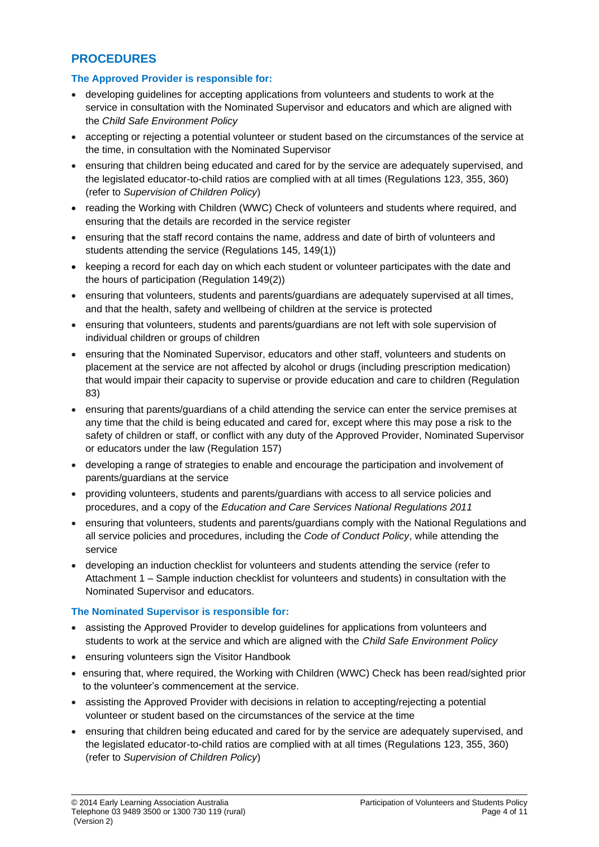## **PROCEDURES**

### **The Approved Provider is responsible for:**

- developing guidelines for accepting applications from volunteers and students to work at the service in consultation with the Nominated Supervisor and educators and which are aligned with the *Child Safe Environment Policy*
- accepting or rejecting a potential volunteer or student based on the circumstances of the service at the time, in consultation with the Nominated Supervisor
- ensuring that children being educated and cared for by the service are adequately supervised, and the legislated educator-to-child ratios are complied with at all times (Regulations 123, 355, 360) (refer to *Supervision of Children Policy*)
- reading the Working with Children (WWC) Check of volunteers and students where required, and ensuring that the details are recorded in the service register
- ensuring that the staff record contains the name, address and date of birth of volunteers and students attending the service (Regulations 145, 149(1))
- keeping a record for each day on which each student or volunteer participates with the date and the hours of participation (Regulation 149(2))
- ensuring that volunteers, students and parents/guardians are adequately supervised at all times, and that the health, safety and wellbeing of children at the service is protected
- ensuring that volunteers, students and parents/guardians are not left with sole supervision of individual children or groups of children
- ensuring that the Nominated Supervisor, educators and other staff, volunteers and students on placement at the service are not affected by alcohol or drugs (including prescription medication) that would impair their capacity to supervise or provide education and care to children (Regulation 83)
- ensuring that parents/guardians of a child attending the service can enter the service premises at any time that the child is being educated and cared for, except where this may pose a risk to the safety of children or staff, or conflict with any duty of the Approved Provider, Nominated Supervisor or educators under the law (Regulation 157)
- developing a range of strategies to enable and encourage the participation and involvement of parents/guardians at the service
- providing volunteers, students and parents/guardians with access to all service policies and procedures, and a copy of the *Education and Care Services National Regulations 2011*
- ensuring that volunteers, students and parents/guardians comply with the National Regulations and all service policies and procedures, including the *Code of Conduct Policy*, while attending the service
- developing an induction checklist for volunteers and students attending the service (refer to Attachment 1 – Sample induction checklist for volunteers and students) in consultation with the Nominated Supervisor and educators.

#### **The Nominated Supervisor is responsible for:**

- assisting the Approved Provider to develop guidelines for applications from volunteers and students to work at the service and which are aligned with the *Child Safe Environment Policy*
- ensuring volunteers sign the Visitor Handbook
- ensuring that, where required, the Working with Children (WWC) Check has been read/sighted prior to the volunteer's commencement at the service.
- assisting the Approved Provider with decisions in relation to accepting/rejecting a potential volunteer or student based on the circumstances of the service at the time
- ensuring that children being educated and cared for by the service are adequately supervised, and the legislated educator-to-child ratios are complied with at all times (Regulations 123, 355, 360) (refer to *Supervision of Children Policy*)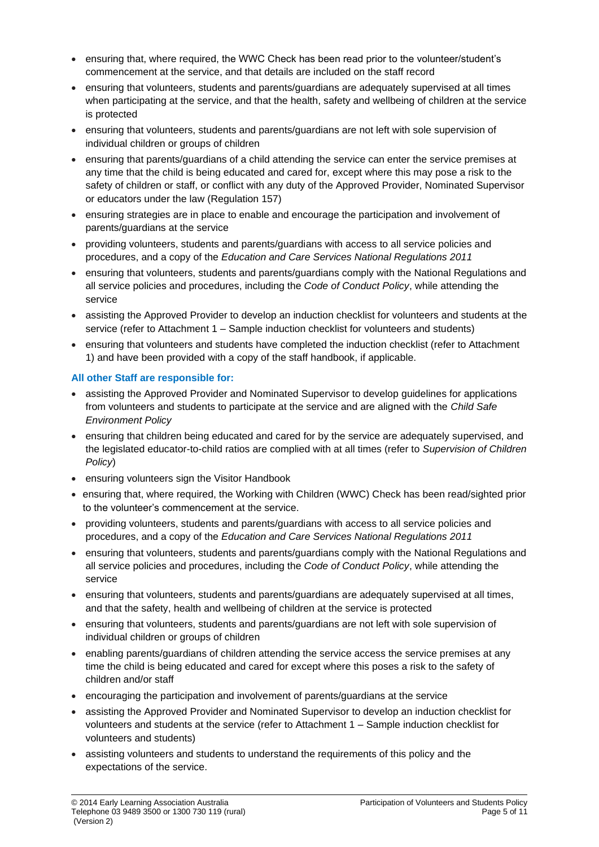- ensuring that, where required, the WWC Check has been read prior to the volunteer/student's commencement at the service, and that details are included on the staff record
- ensuring that volunteers, students and parents/guardians are adequately supervised at all times when participating at the service, and that the health, safety and wellbeing of children at the service is protected
- ensuring that volunteers, students and parents/guardians are not left with sole supervision of individual children or groups of children
- ensuring that parents/guardians of a child attending the service can enter the service premises at any time that the child is being educated and cared for, except where this may pose a risk to the safety of children or staff, or conflict with any duty of the Approved Provider, Nominated Supervisor or educators under the law (Regulation 157)
- ensuring strategies are in place to enable and encourage the participation and involvement of parents/guardians at the service
- providing volunteers, students and parents/guardians with access to all service policies and procedures, and a copy of the *Education and Care Services National Regulations 2011*
- ensuring that volunteers, students and parents/guardians comply with the National Regulations and all service policies and procedures, including the *Code of Conduct Policy*, while attending the service
- assisting the Approved Provider to develop an induction checklist for volunteers and students at the service (refer to Attachment 1 – Sample induction checklist for volunteers and students)
- ensuring that volunteers and students have completed the induction checklist (refer to Attachment 1) and have been provided with a copy of the staff handbook, if applicable.

### **All other Staff are responsible for:**

- assisting the Approved Provider and Nominated Supervisor to develop guidelines for applications from volunteers and students to participate at the service and are aligned with the *Child Safe Environment Policy*
- ensuring that children being educated and cared for by the service are adequately supervised, and the legislated educator-to-child ratios are complied with at all times (refer to *Supervision of Children Policy*)
- ensuring volunteers sign the Visitor Handbook
- ensuring that, where required, the Working with Children (WWC) Check has been read/sighted prior to the volunteer's commencement at the service.
- providing volunteers, students and parents/guardians with access to all service policies and procedures, and a copy of the *Education and Care Services National Regulations 2011*
- ensuring that volunteers, students and parents/guardians comply with the National Regulations and all service policies and procedures, including the *Code of Conduct Policy*, while attending the service
- ensuring that volunteers, students and parents/guardians are adequately supervised at all times, and that the safety, health and wellbeing of children at the service is protected
- ensuring that volunteers, students and parents/guardians are not left with sole supervision of individual children or groups of children
- enabling parents/guardians of children attending the service access the service premises at any time the child is being educated and cared for except where this poses a risk to the safety of children and/or staff
- encouraging the participation and involvement of parents/guardians at the service
- assisting the Approved Provider and Nominated Supervisor to develop an induction checklist for volunteers and students at the service (refer to Attachment 1 – Sample induction checklist for volunteers and students)
- assisting volunteers and students to understand the requirements of this policy and the expectations of the service.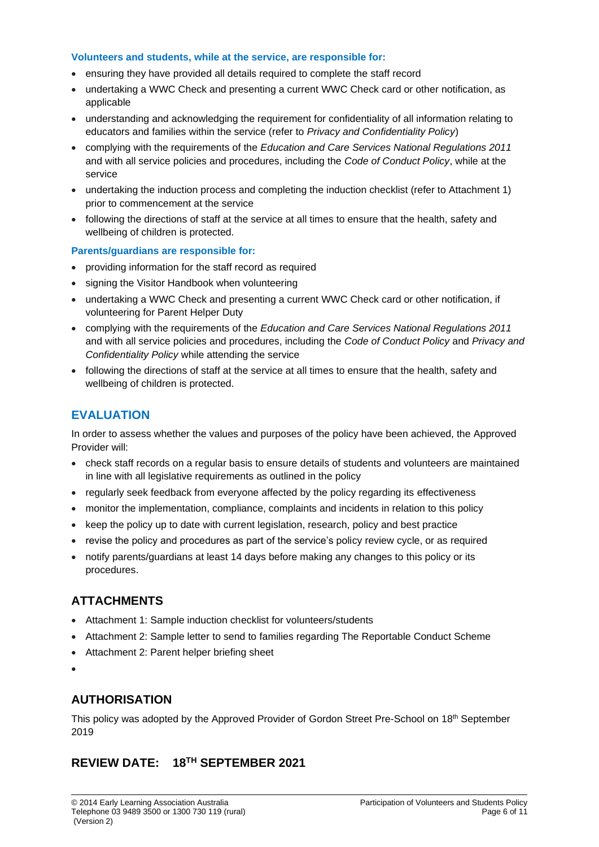#### **Volunteers and students, while at the service, are responsible for:**

- ensuring they have provided all details required to complete the staff record
- undertaking a WWC Check and presenting a current WWC Check card or other notification, as applicable
- understanding and acknowledging the requirement for confidentiality of all information relating to educators and families within the service (refer to *Privacy and Confidentiality Policy*)
- complying with the requirements of the *Education and Care Services National Regulations 2011*  and with all service policies and procedures, including the *Code of Conduct Policy*, while at the service
- undertaking the induction process and completing the induction checklist (refer to Attachment 1) prior to commencement at the service
- following the directions of staff at the service at all times to ensure that the health, safety and wellbeing of children is protected.

#### **Parents/guardians are responsible for:**

- providing information for the staff record as required
- signing the Visitor Handbook when volunteering
- undertaking a WWC Check and presenting a current WWC Check card or other notification, if volunteering for Parent Helper Duty
- complying with the requirements of the *Education and Care Services National Regulations 2011* and with all service policies and procedures, including the *Code of Conduct Policy* and *Privacy and Confidentiality Policy* while attending the service
- following the directions of staff at the service at all times to ensure that the health, safety and wellbeing of children is protected.

## **EVALUATION**

In order to assess whether the values and purposes of the policy have been achieved, the Approved Provider will:

- check staff records on a regular basis to ensure details of students and volunteers are maintained in line with all legislative requirements as outlined in the policy
- regularly seek feedback from everyone affected by the policy regarding its effectiveness
- monitor the implementation, compliance, complaints and incidents in relation to this policy
- keep the policy up to date with current legislation, research, policy and best practice
- revise the policy and procedures as part of the service's policy review cycle, or as required
- notify parents/guardians at least 14 days before making any changes to this policy or its procedures.

## **ATTACHMENTS**

- Attachment 1: Sample induction checklist for volunteers/students
- Attachment 2: Sample letter to send to families regarding The Reportable Conduct Scheme
- Attachment 2: Parent helper briefing sheet
- •

## **AUTHORISATION**

This policy was adopted by the Approved Provider of Gordon Street Pre-School on 18<sup>th</sup> September 2019

## **REVIEW DATE: 18 TH SEPTEMBER 2021**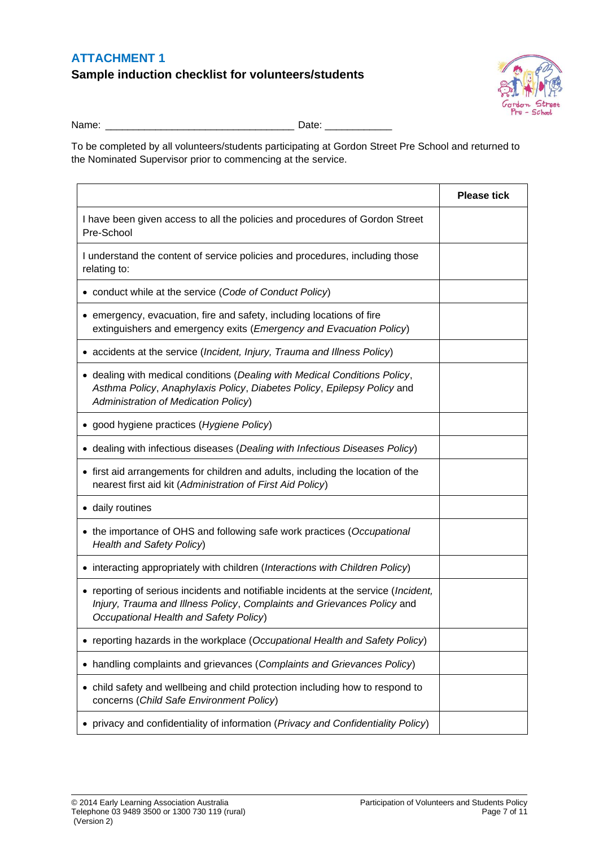### **ATTACHMENT 1**

**Sample induction checklist for volunteers/students**



Name: \_\_\_\_\_\_\_\_\_\_\_\_\_\_\_\_\_\_\_\_\_\_\_\_\_\_\_\_\_\_\_\_\_\_ Date: \_\_\_\_\_\_\_\_\_\_\_\_

To be completed by all volunteers/students participating at Gordon Street Pre School and returned to the Nominated Supervisor prior to commencing at the service.

|                                                                                                                                                                                                          | <b>Please tick</b> |
|----------------------------------------------------------------------------------------------------------------------------------------------------------------------------------------------------------|--------------------|
| I have been given access to all the policies and procedures of Gordon Street<br>Pre-School                                                                                                               |                    |
| I understand the content of service policies and procedures, including those<br>relating to:                                                                                                             |                    |
| • conduct while at the service (Code of Conduct Policy)                                                                                                                                                  |                    |
| • emergency, evacuation, fire and safety, including locations of fire<br>extinguishers and emergency exits (Emergency and Evacuation Policy)                                                             |                    |
| • accidents at the service (Incident, Injury, Trauma and Illness Policy)                                                                                                                                 |                    |
| • dealing with medical conditions (Dealing with Medical Conditions Policy,<br>Asthma Policy, Anaphylaxis Policy, Diabetes Policy, Epilepsy Policy and<br><b>Administration of Medication Policy)</b>     |                    |
| • good hygiene practices (Hygiene Policy)                                                                                                                                                                |                    |
| • dealing with infectious diseases (Dealing with Infectious Diseases Policy)                                                                                                                             |                    |
| • first aid arrangements for children and adults, including the location of the<br>nearest first aid kit (Administration of First Aid Policy)                                                            |                    |
| · daily routines                                                                                                                                                                                         |                    |
| • the importance of OHS and following safe work practices (Occupational<br>Health and Safety Policy)                                                                                                     |                    |
| • interacting appropriately with children (Interactions with Children Policy)                                                                                                                            |                    |
| • reporting of serious incidents and notifiable incidents at the service (Incident,<br>Injury, Trauma and Illness Policy, Complaints and Grievances Policy and<br>Occupational Health and Safety Policy) |                    |
| • reporting hazards in the workplace (Occupational Health and Safety Policy)                                                                                                                             |                    |
| handling complaints and grievances (Complaints and Grievances Policy)<br>٠                                                                                                                               |                    |
| • child safety and wellbeing and child protection including how to respond to<br>concerns (Child Safe Environment Policy)                                                                                |                    |
| privacy and confidentiality of information (Privacy and Confidentiality Policy)                                                                                                                          |                    |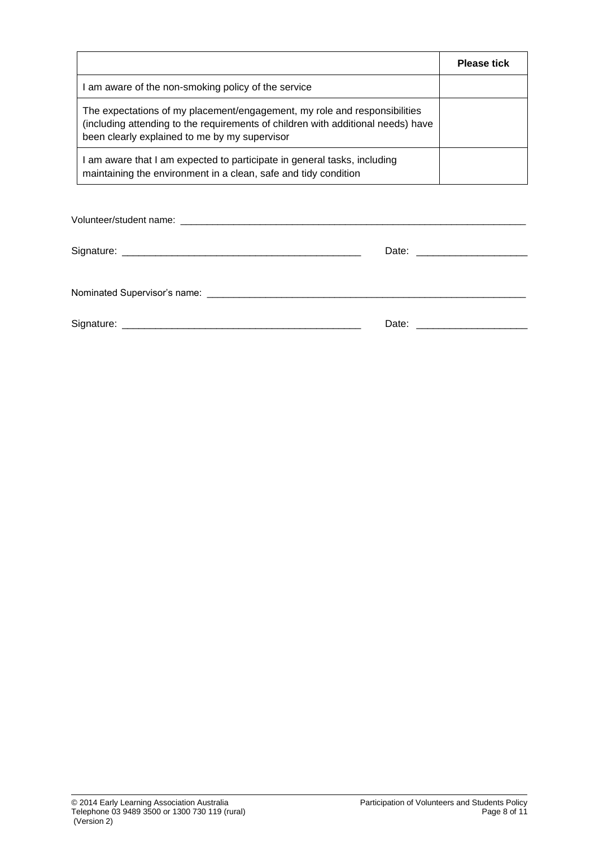|                                                                                                                                                                                                                | <b>Please tick</b> |
|----------------------------------------------------------------------------------------------------------------------------------------------------------------------------------------------------------------|--------------------|
| I am aware of the non-smoking policy of the service                                                                                                                                                            |                    |
| The expectations of my placement/engagement, my role and responsibilities<br>(including attending to the requirements of children with additional needs) have<br>been clearly explained to me by my supervisor |                    |
| am aware that I am expected to participate in general tasks, including<br>maintaining the environment in a clean, safe and tidy condition                                                                      |                    |

| Date: _______________________ |
|-------------------------------|
|                               |
|                               |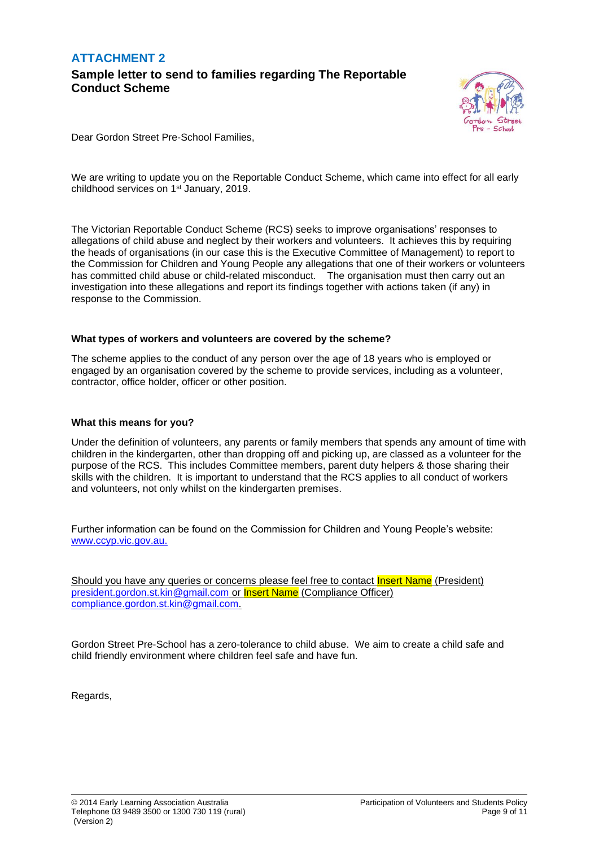## **ATTACHMENT 2 Sample letter to send to families regarding The Reportable Conduct Scheme**



Dear Gordon Street Pre-School Families,

We are writing to update you on the Reportable Conduct Scheme, which came into effect for all early childhood services on 1<sup>st</sup> January, 2019.

The Victorian Reportable Conduct Scheme (RCS) seeks to improve organisations' responses to allegations of child abuse and neglect by their workers and volunteers. It achieves this by requiring the heads of organisations (in our case this is the Executive Committee of Management) to report to the Commission for Children and Young People any allegations that one of their workers or volunteers has committed child abuse or child-related misconduct. The organisation must then carry out an investigation into these allegations and report its findings together with actions taken (if any) in response to the Commission.

#### **What types of workers and volunteers are covered by the scheme?**

The scheme applies to the conduct of any person over the age of 18 years who is employed or engaged by an organisation covered by the scheme to provide services, including as a volunteer, contractor, office holder, officer or other position.

#### **What this means for you?**

Under the definition of volunteers, any parents or family members that spends any amount of time with children in the kindergarten, other than dropping off and picking up, are classed as a volunteer for the purpose of the RCS. This includes Committee members, parent duty helpers & those sharing their skills with the children. It is important to understand that the RCS applies to all conduct of workers and volunteers, not only whilst on the kindergarten premises.

Further information can be found on the Commission for Children and Young People's website: [www.ccyp.vic.gov.au.](file://///internal.vic.gov.au/DHHS/HomeDirs4/pboa1510/Documents/Offline%20Records%20(DP)/Reportable%20~%20&%20WELLBEING%20-%20POLICY%20&%20PROCEDURES/www.ccyp.vic.gov.au)

Should you have any queries or concerns please feel free to contact **Insert Name** (President) [president.gordon.st.kin@gmail.com](mailto:president.gordon.st.kin@gmail.com) or Insert Name (Compliance Officer) [compliance.gordon.st.kin@gmail.com.](mailto:compliance.gordon.st.kin@gmail.com)

Gordon Street Pre-School has a zero-tolerance to child abuse. We aim to create a child safe and child friendly environment where children feel safe and have fun.

Regards,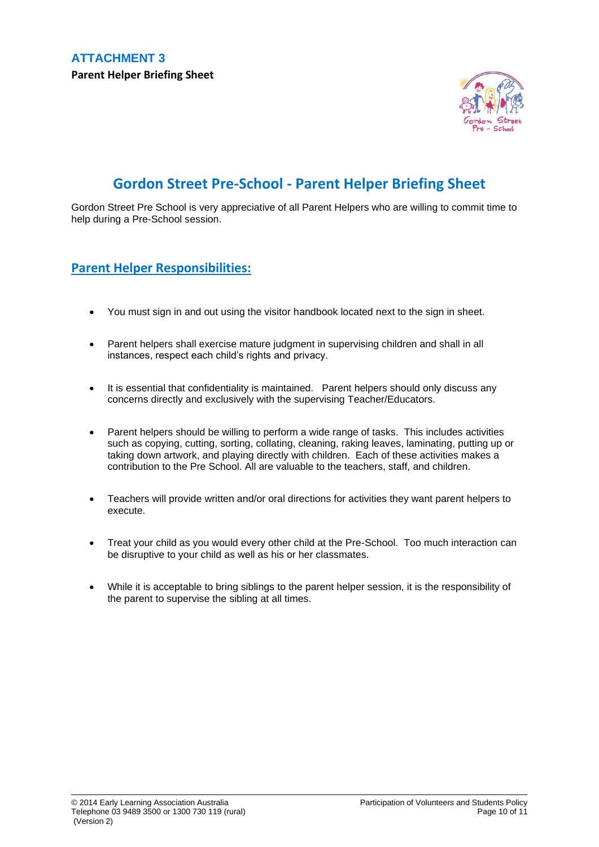

# **Gordon Street Pre-School - Parent Helper Briefing Sheet**

Gordon Street Pre School is very appreciative of all Parent Helpers who are willing to commit time to help during a Pre-School session.

## **Parent Helper Responsibilities:**

- You must sign in and out using the visitor handbook located next to the sign in sheet.
- Parent helpers shall exercise mature judgment in supervising children and shall in all instances, respect each child's rights and privacy.
- It is essential that confidentiality is maintained. Parent helpers should only discuss any concerns directly and exclusively with the supervising Teacher/Educators.
- Parent helpers should be willing to perform a wide range of tasks. This includes activities such as copying, cutting, sorting, collating, cleaning, raking leaves, laminating, putting up or taking down artwork, and playing directly with children. Each of these activities makes a contribution to the Pre School. All are valuable to the teachers, staff, and children.
- Teachers will provide written and/or oral directions for activities they want parent helpers to execute.
- Treat your child as you would every other child at the Pre-School. Too much interaction can be disruptive to your child as well as his or her classmates.
- While it is acceptable to bring siblings to the parent helper session, it is the responsibility of the parent to supervise the sibling at all times.